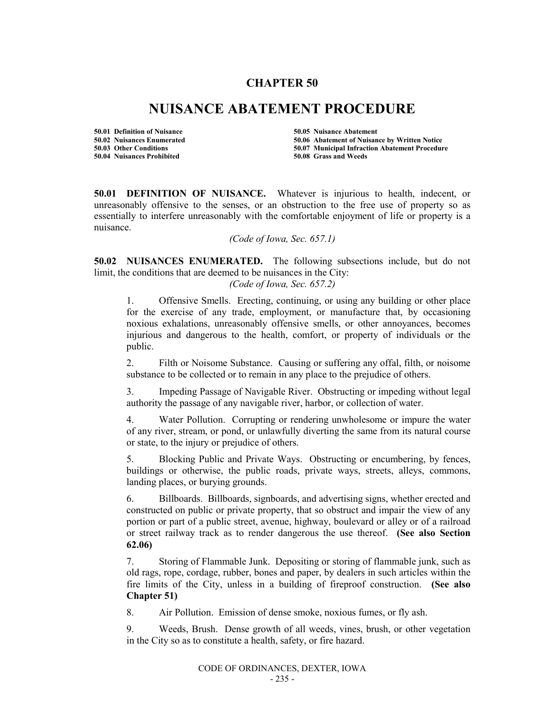# **CHAPTER 50**

# **NUISANCE ABATEMENT PROCEDURE**

**50.01 Definition of Nuisance 50.05 Nuisance Abatement 50.04 Nuisances Prohibited 50.08 Grass and Weeds**

**50.02 Nuisances Enumerated 50.06 Abatement of Nuisance by Written Notice 50.07 Municipal Infraction Abatement Procedure** 

**50.01 DEFINITION OF NUISANCE.** Whatever is injurious to health, indecent, or unreasonably offensive to the senses, or an obstruction to the free use of property so as essentially to interfere unreasonably with the comfortable enjoyment of life or property is a nuisance.

*(Code of Iowa, Sec. 657.1)*

**50.02 NUISANCES ENUMERATED.** The following subsections include, but do not limit, the conditions that are deemed to be nuisances in the City:

*(Code of Iowa, Sec. 657.2)*

1. Offensive Smells. Erecting, continuing, or using any building or other place for the exercise of any trade, employment, or manufacture that, by occasioning noxious exhalations, unreasonably offensive smells, or other annoyances, becomes injurious and dangerous to the health, comfort, or property of individuals or the public.

2. Filth or Noisome Substance. Causing or suffering any offal, filth, or noisome substance to be collected or to remain in any place to the prejudice of others.

3. Impeding Passage of Navigable River. Obstructing or impeding without legal authority the passage of any navigable river, harbor, or collection of water.

4. Water Pollution. Corrupting or rendering unwholesome or impure the water of any river, stream, or pond, or unlawfully diverting the same from its natural course or state, to the injury or prejudice of others.

5. Blocking Public and Private Ways. Obstructing or encumbering, by fences, buildings or otherwise, the public roads, private ways, streets, alleys, commons, landing places, or burying grounds.

6. Billboards. Billboards, signboards, and advertising signs, whether erected and constructed on public or private property, that so obstruct and impair the view of any portion or part of a public street, avenue, highway, boulevard or alley or of a railroad or street railway track as to render dangerous the use thereof. **(See also Section 62.06)**

7. Storing of Flammable Junk. Depositing or storing of flammable junk, such as old rags, rope, cordage, rubber, bones and paper, by dealers in such articles within the fire limits of the City, unless in a building of fireproof construction. **(See also Chapter 51)**

8. Air Pollution. Emission of dense smoke, noxious fumes, or fly ash.

9. Weeds, Brush. Dense growth of all weeds, vines, brush, or other vegetation in the City so as to constitute a health, safety, or fire hazard.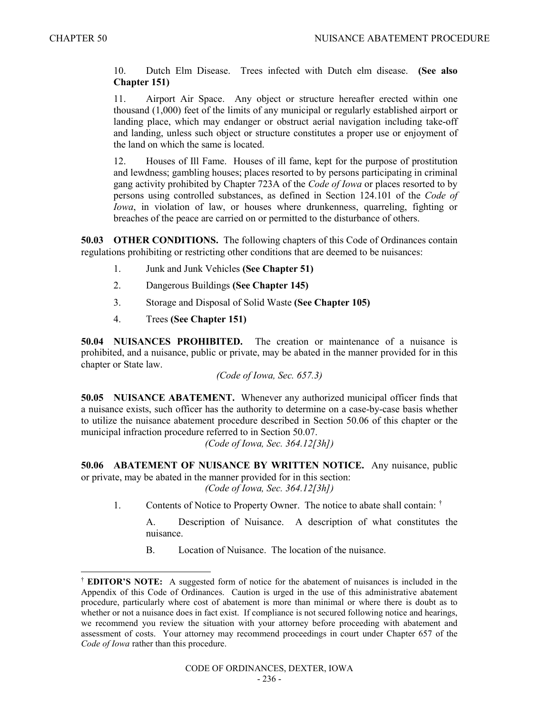10. Dutch Elm Disease. Trees infected with Dutch elm disease. **(See also Chapter 151)**

11. Airport Air Space. Any object or structure hereafter erected within one thousand (1,000) feet of the limits of any municipal or regularly established airport or landing place, which may endanger or obstruct aerial navigation including take-off and landing, unless such object or structure constitutes a proper use or enjoyment of the land on which the same is located.

12. Houses of Ill Fame. Houses of ill fame, kept for the purpose of prostitution and lewdness; gambling houses; places resorted to by persons participating in criminal gang activity prohibited by Chapter 723A of the *Code of Iowa* or places resorted to by persons using controlled substances, as defined in Section 124.101 of the *Code of Iowa*, in violation of law, or houses where drunkenness, quarreling, fighting or breaches of the peace are carried on or permitted to the disturbance of others.

**50.03 OTHER CONDITIONS.** The following chapters of this Code of Ordinances contain regulations prohibiting or restricting other conditions that are deemed to be nuisances:

- 1. Junk and Junk Vehicles **(See Chapter 51)**
- 2. Dangerous Buildings **(See Chapter 145)**
- 3. Storage and Disposal of Solid Waste **(See Chapter 105)**
- 4. Trees **(See Chapter 151)**

**50.04 NUISANCES PROHIBITED.** The creation or maintenance of a nuisance is prohibited, and a nuisance, public or private, may be abated in the manner provided for in this chapter or State law.

*(Code of Iowa, Sec. 657.3)*

**50.05 NUISANCE ABATEMENT.** Whenever any authorized municipal officer finds that a nuisance exists, such officer has the authority to determine on a case-by-case basis whether to utilize the nuisance abatement procedure described in Section 50.06 of this chapter or the municipal infraction procedure referred to in Section 50.07.

*(Code of Iowa, Sec. 364.12[3h])*

**50.06 ABATEMENT OF NUISANCE BY WRITTEN NOTICE.** Any nuisance, public or private, may be abated in the manner provided for in this section:

*(Code of Iowa, Sec. 364.12[3h])*

1. Contents of Notice to Property Owner. The notice to abate shall contain:  $\dagger$ 

A. Description of Nuisance. A description of what constitutes the nuisance.

B. Location of Nuisance. The location of the nuisance.

 <sup>†</sup> **EDITOR'S NOTE:** A suggested form of notice for the abatement of nuisances is included in the Appendix of this Code of Ordinances. Caution is urged in the use of this administrative abatement procedure, particularly where cost of abatement is more than minimal or where there is doubt as to whether or not a nuisance does in fact exist. If compliance is not secured following notice and hearings, we recommend you review the situation with your attorney before proceeding with abatement and assessment of costs. Your attorney may recommend proceedings in court under Chapter 657 of the *Code of Iowa* rather than this procedure.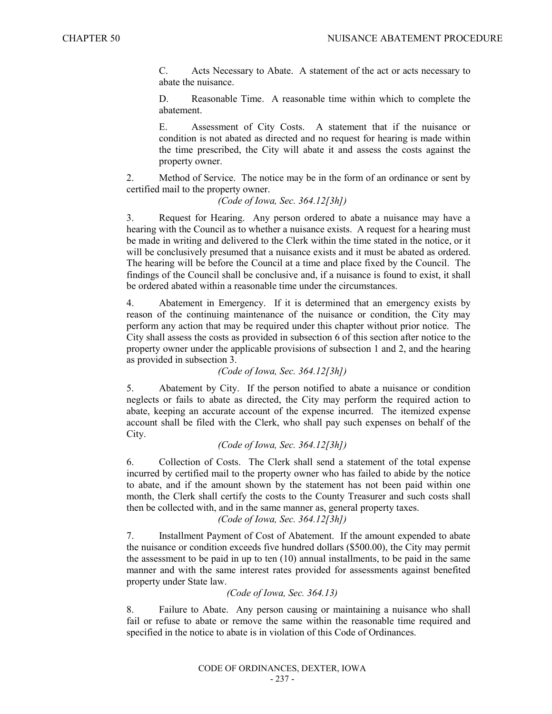C. Acts Necessary to Abate. A statement of the act or acts necessary to abate the nuisance.

D. Reasonable Time. A reasonable time within which to complete the abatement.

E. Assessment of City Costs. A statement that if the nuisance or condition is not abated as directed and no request for hearing is made within the time prescribed, the City will abate it and assess the costs against the property owner.

2. Method of Service. The notice may be in the form of an ordinance or sent by certified mail to the property owner.

#### *(Code of Iowa, Sec. 364.12[3h])*

3. Request for Hearing. Any person ordered to abate a nuisance may have a hearing with the Council as to whether a nuisance exists. A request for a hearing must be made in writing and delivered to the Clerk within the time stated in the notice, or it will be conclusively presumed that a nuisance exists and it must be abated as ordered. The hearing will be before the Council at a time and place fixed by the Council. The findings of the Council shall be conclusive and, if a nuisance is found to exist, it shall be ordered abated within a reasonable time under the circumstances.

4. Abatement in Emergency. If it is determined that an emergency exists by reason of the continuing maintenance of the nuisance or condition, the City may perform any action that may be required under this chapter without prior notice. The City shall assess the costs as provided in subsection 6 of this section after notice to the property owner under the applicable provisions of subsection 1 and 2, and the hearing as provided in subsection 3.

*(Code of Iowa, Sec. 364.12[3h])*

5. Abatement by City. If the person notified to abate a nuisance or condition neglects or fails to abate as directed, the City may perform the required action to abate, keeping an accurate account of the expense incurred. The itemized expense account shall be filed with the Clerk, who shall pay such expenses on behalf of the City.

### *(Code of Iowa, Sec. 364.12[3h])*

6. Collection of Costs. The Clerk shall send a statement of the total expense incurred by certified mail to the property owner who has failed to abide by the notice to abate, and if the amount shown by the statement has not been paid within one month, the Clerk shall certify the costs to the County Treasurer and such costs shall then be collected with, and in the same manner as, general property taxes.

## *(Code of Iowa, Sec. 364.12[3h])*

7. Installment Payment of Cost of Abatement. If the amount expended to abate the nuisance or condition exceeds five hundred dollars (\$500.00), the City may permit the assessment to be paid in up to ten (10) annual installments, to be paid in the same manner and with the same interest rates provided for assessments against benefited property under State law.

#### *(Code of Iowa, Sec. 364.13)*

8. Failure to Abate. Any person causing or maintaining a nuisance who shall fail or refuse to abate or remove the same within the reasonable time required and specified in the notice to abate is in violation of this Code of Ordinances.